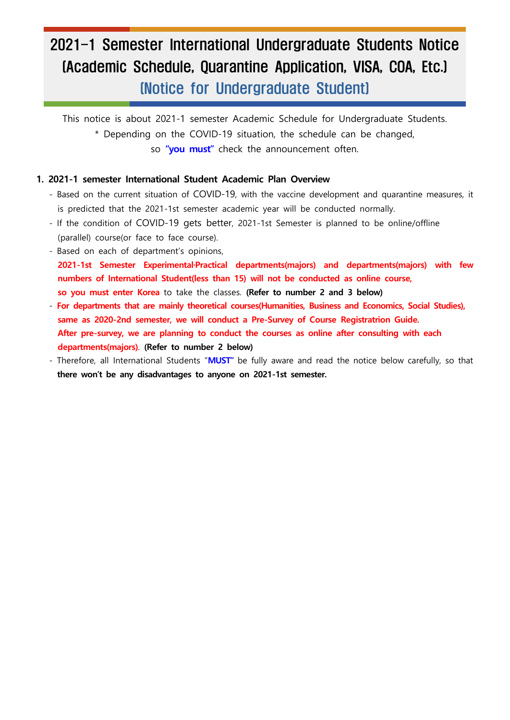# 2021-1 Semester International Undergraduate Students Notice (Academic Schedule, Quarantine Application, VISA, COA, Etc.) (Notice for Undergraduate Student)

This notice is about 2021-1 semester Academic Schedule for Undergraduate Students. \* Depending on the COVID-19 situation, the schedule can be changed, so **"you must"** check the announcement often.

#### **1. 2021-1 semester International Student Academic Plan Overview**

- Based on the current situation of COVID-19, with the vaccine development and quarantine measures, it is predicted that the 2021-1st semester academic year will be conducted normally. - If the condition of COVID-19 gets better, 2021-1st Semester is planned to be online/offline
- (parallel) course(or face to face course). Based on each of department's opinions,
- 
- **2021-1st Semester Experimental·Practical departments(majors) and departments(majors) with few numbers of International Student(less than 15) will not be conducted as online course, so you must enter Korea** to take the classes. **(Refer to number 2 and 3 below)**
- For departments that are mainly theoretical courses (Humanities, Business and Economics, Social Studies), same as 2020-2nd semester, we will conduct a Pre-Survey of Course Registratrion Guide.<br>After pre-survey, we are pl  **departments(majors)**. **(Refer to number 2 below)**
- Therefore, all International Students "**MUST"** be fully aware and read the notice below carefully, so that **there won't be any disadvantages to anyone on 2021-1st semester.**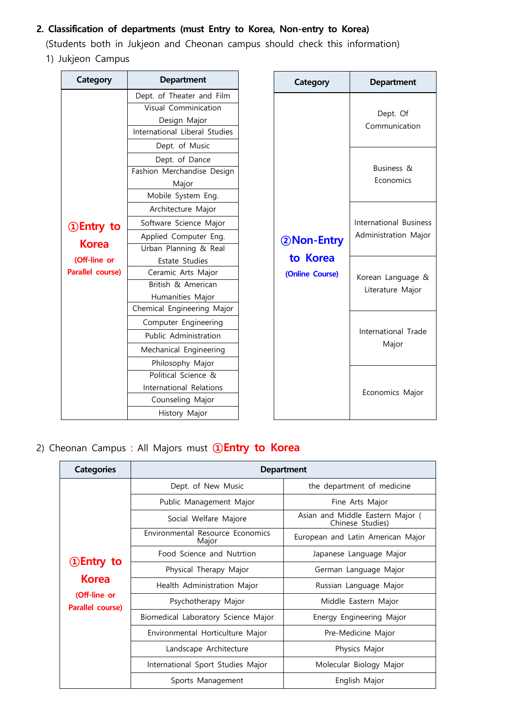# **2. Classification of departments (must Entry to Korea, Non-entry to Korea)**

(Students both in Jukjeon and Cheonan campus should check this information) 1) Jukjeon Campus

| Category                | <b>Department</b>             |
|-------------------------|-------------------------------|
|                         | Dept. of Theater and Film     |
|                         | Visual Comminication          |
|                         | Design Major                  |
|                         | International Liberal Studies |
|                         | Dept. of Music                |
|                         | Dept. of Dance                |
|                         | Fashion Merchandise Design    |
|                         | Major                         |
|                         | Mobile System Eng.            |
|                         | Architecture Major            |
| <b>1</b> Dentry to      | Software Science Major        |
|                         | Applied Computer Eng.         |
| <b>Korea</b>            | Urban Planning & Real         |
| (Off-line or            | Estate Studies                |
| <b>Parallel course)</b> | Ceramic Arts Major            |
|                         | British & American            |
|                         | Humanities Major              |
|                         | Chemical Engineering Major    |
|                         | Computer Engineering          |
|                         | Public Administration         |
|                         | Mechanical Engineering        |
|                         | Philosophy Major              |
|                         | Political Science &           |
|                         | International Relations       |
|                         | Counseling Major              |
|                         | History Major                 |

| Category                                  | <b>Department</b>                              |
|-------------------------------------------|------------------------------------------------|
| 2Non-Entry<br>to Korea<br>(Online Course) | Dept. Of<br>Communication                      |
|                                           | <b>Business &amp;</b><br>Economics             |
|                                           | International Business<br>Administration Major |
|                                           | Korean Language &<br>Literature Major          |
|                                           | International Trade<br>Major                   |
|                                           | Economics Major                                |

# 2) Cheonan Campus : All Majors must **①Entry to Korea**

| <b>Categories</b>                | <b>Department</b>                         |                                                      |  |
|----------------------------------|-------------------------------------------|------------------------------------------------------|--|
|                                  | Dept. of New Music                        | the department of medicine                           |  |
|                                  | Public Management Major                   | Fine Arts Major                                      |  |
|                                  | Social Welfare Majore                     | Asian and Middle Eastern Major (<br>Chinese Studies) |  |
|                                  | Environmental Resource Economics<br>Major | European and Latin American Major                    |  |
|                                  | Food Science and Nutrtion                 | Japanese Language Major                              |  |
| <b>1</b> Entry to                | Physical Therapy Major                    | German Language Major                                |  |
| <b>Korea</b>                     | Health Administration Major               | Russian Language Major                               |  |
| (Off-line or<br>Parallel course) | Psychotherapy Major                       | Middle Eastern Major                                 |  |
|                                  | Biomedical Laboratory Science Major       | Energy Engineering Major                             |  |
|                                  | Environmental Horticulture Major          | Pre-Medicine Major                                   |  |
|                                  | Landscape Architecture                    | Physics Major                                        |  |
|                                  | International Sport Studies Major         | Molecular Biology Major                              |  |
|                                  | Sports Management                         | English Major                                        |  |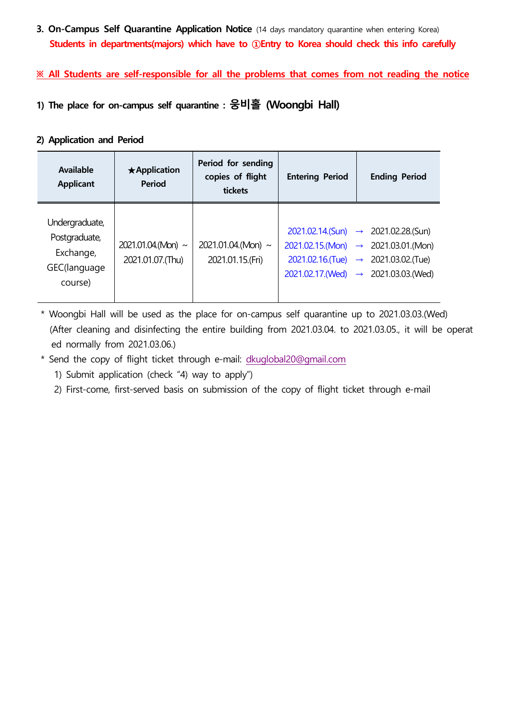**3. On-Campus Self Quarantine Application Notice** (14 days mandatory quarantine when entering Korea) **Students in departments(majors) which have to ①Entry to Korea should check this info carefully** 

**※ All Students are self-responsible for all the problems that comes from not reading the notice**

**1) The place for on-campus self quarantine : 웅비홀 (Woongbi Hall)**

# **2) Application and Period**

| Available<br><b>Applicant</b>                                           | $\star$ Application<br><b>Period</b>      | Period for sending<br>copies of flight<br>tickets | <b>Entering Period</b> | <b>Ending Period</b>                                                                                                                                                                                                       |
|-------------------------------------------------------------------------|-------------------------------------------|---------------------------------------------------|------------------------|----------------------------------------------------------------------------------------------------------------------------------------------------------------------------------------------------------------------------|
| Undergraduate,<br>Postgraduate,<br>Exchange,<br>GEC(language<br>course) | $2021.01.04$ (Mon) ~<br>2021.01.07. (Thu) | 2021.01.04.(Mon) $\sim$<br>2021.01.15.(Fri)       |                        | $2021.02.14$ . (Sun) $\rightarrow$ 2021.02.28. (Sun)<br>$2021.02.15$ .(Mon) $\rightarrow$ 2021.03.01.(Mon)<br>$2021.02.16$ . (Tue) $\rightarrow$ 2021.03.02. (Tue)<br>$2021.02.17$ . (Wed) $\rightarrow$ 2021.03.03. (Wed) |

\* Woongbi Hall will be used as the place for on-campus self quarantine up to 2021.03.03.(Wed) (After cleaning and disinfecting the entire building from 2021.03.04. to 2021.03.05., it will be operat ed normally from 2021.03.06.)

\* Send the copy of flight ticket through e-mail: [dkuglobal20@gmail.com](mailto:dkuglobal20@gmail.com)

1) Submit application (check "4) way to apply")

2) First-come, first-served basis on submission of the copy of flight ticket through e-mail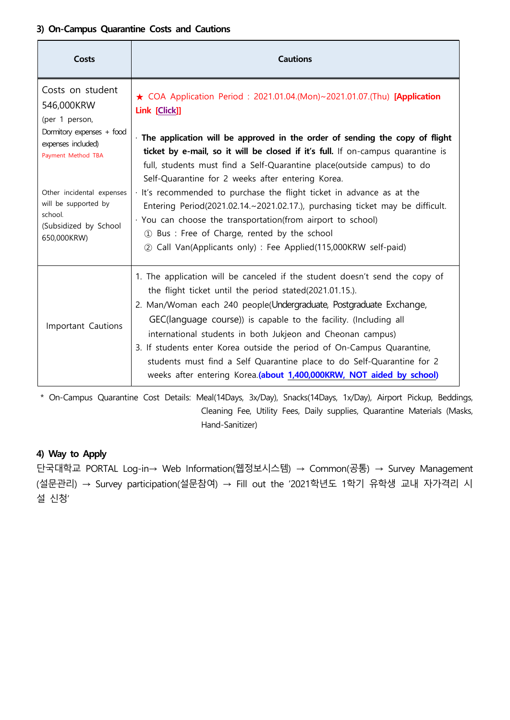### **3) On-Campus Quarantine Costs and Cautions**

| Costs                                                                                                                                                                                                              | <b>Cautions</b>                                                                                                                                                                                                                                                                                                                                                                                                                                                                                                                                                                                                     |
|--------------------------------------------------------------------------------------------------------------------------------------------------------------------------------------------------------------------|---------------------------------------------------------------------------------------------------------------------------------------------------------------------------------------------------------------------------------------------------------------------------------------------------------------------------------------------------------------------------------------------------------------------------------------------------------------------------------------------------------------------------------------------------------------------------------------------------------------------|
| Costs on student<br>546,000KRW<br>(per 1 person,<br>Dormitory expenses + food<br>expenses included)<br>Payment Method TBA<br>Other incidental expenses<br>will be supported by<br>school.<br>(Subsidized by School | ★ COA Application Period: 2021.01.04.(Mon)~2021.01.07.(Thu) [Application<br>Link [Click]]<br>The application will be approved in the order of sending the copy of flight<br>ticket by e-mail, so it will be closed if it's full. If on-campus quarantine is<br>full, students must find a Self-Quarantine place(outside campus) to do<br>Self-Quarantine for 2 weeks after entering Korea.<br>· It's recommended to purchase the flight ticket in advance as at the<br>Entering Period(2021.02.14.~2021.02.17.), purchasing ticket may be difficult.<br>· You can choose the transportation(from airport to school) |
| 650,000KRW)                                                                                                                                                                                                        | 1) Bus : Free of Charge, rented by the school<br>2 Call Van(Applicants only) : Fee Applied(115,000KRW self-paid)                                                                                                                                                                                                                                                                                                                                                                                                                                                                                                    |
| Important Cautions                                                                                                                                                                                                 | 1. The application will be canceled if the student doesn't send the copy of<br>the flight ticket until the period stated(2021.01.15.).<br>2. Man/Woman each 240 people(Undergraduate, Postgraduate Exchange,<br>GEC(language course)) is capable to the facility. (Including all<br>international students in both Jukjeon and Cheonan campus)<br>3. If students enter Korea outside the period of On-Campus Quarantine,<br>students must find a Self Quarantine place to do Self-Quarantine for 2<br>weeks after entering Korea.(about 1,400,000KRW, NOT aided by school)                                          |

\* On-Campus Quarantine Cost Details: Meal(14Days, 3x/Day), Snacks(14Days, 1x/Day), Airport Pickup, Beddings, Cleaning Fee, Utility Fees, Daily supplies, Quarantine Materials (Masks, Hand-Sanitizer)

# **4) Way to Apply**

단국대학교 PORTAL Log-in→ Web Information(웹정보시스템) → Common(공통) → Survey Management (설문관리) → Survey participation(설문참여) → Fill out the '2021학년도 1학기 유학생 교내 자가격리 시 설 신청'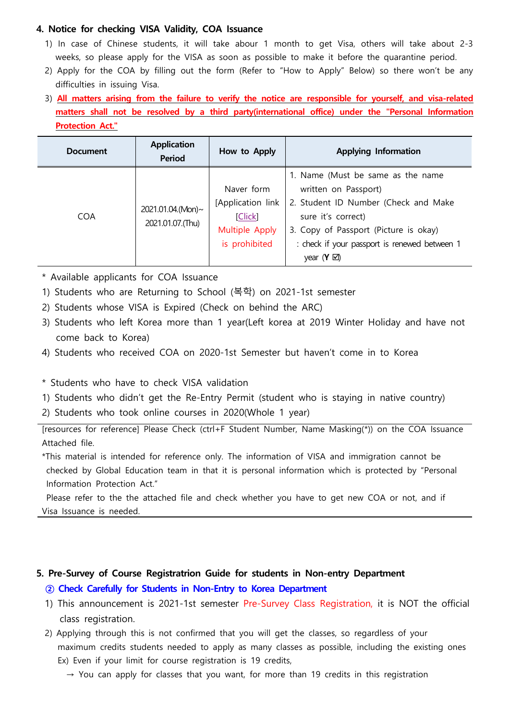### **4. Notice for checking VISA Validity, COA Issuance**

- 1) In case of Chinese students, it will take abour 1 month to get Visa, others will take about 2-3 weeks, so please apply for the VISA as soon as possible to make it before the quarantine period.
- 2) Apply for the COA by filling out the form (Refer to "How to Apply" Below) so there won't be any difficulties in issuing Visa. 3) **All matters arising from the failure to verify the notice are responsible for yourself, and visa-related**
- **matters shall not be resolved by a third party(international office) under the "Personal Information Protection Act."**

| <b>Document</b> | <b>Application</b><br><b>Period</b>    | How to Apply                                                                  | <b>Applying Information</b>                                                                                                                                                                                                               |
|-----------------|----------------------------------------|-------------------------------------------------------------------------------|-------------------------------------------------------------------------------------------------------------------------------------------------------------------------------------------------------------------------------------------|
| <b>COA</b>      | 2021.01.04.(Mon)~<br>2021.01.07. (Thu) | Naver form<br>[Application link<br>[Click]<br>Multiple Apply<br>is prohibited | 1. Name (Must be same as the name<br>written on Passport)<br>2. Student ID Number (Check and Make<br>sure it's correct)<br>3. Copy of Passport (Picture is okay)<br>: check if your passport is renewed between 1<br>year $(Y \boxtimes)$ |

- \* Available applicants for COA Issuance
- 1) Students who are Returning to School (복학) on 2021-1st semester
- 2) Students whose VISA is Expired (Check on behind the ARC)
- 3) Students who left Korea more than 1 year(Left korea at 2019 Winter Holiday and have not come back to Korea)
- 4) Students who received COA on 2020-1st Semester but haven't come in to Korea

\* Students who have to check VISA validation

1) Students who didn't get the Re-Entry Permit (student who is staying in native country)

2) Students who took online courses in 2020(Whole 1 year)

[resources for reference] Please Check (ctrl+F Student Number, Name Masking(\*)) on the COA Issuance Attached file.

\*This material is intended for reference only. The information of VISA and immigration cannot be checked by Global Education team in that it is personal information which is protected by "Personal Information Protection Act."

Please refer to the the attached file and check whether you have to get new COA or not, and if Visa Issuance is needed.

# **5. Pre-Survey of Course Registratrion Guide for students in Non-entry Department**

## **② Check Carefully for Students in Non-Entry to Korea Department**

- 1) This announcement is 2021-1st semester Pre-Survey Class Registration, it is NOT the official class registration.
- 2) Applying through this is not confirmed that you will get the classes, so regardless of your maximum credits students needed to apply as many classes as possible, including the existing ones Ex) Even if your limit for course registration is 19 credits,<br>  $\rightarrow$  You can apply for classes that you want, for more than 19 credits in this registration
	-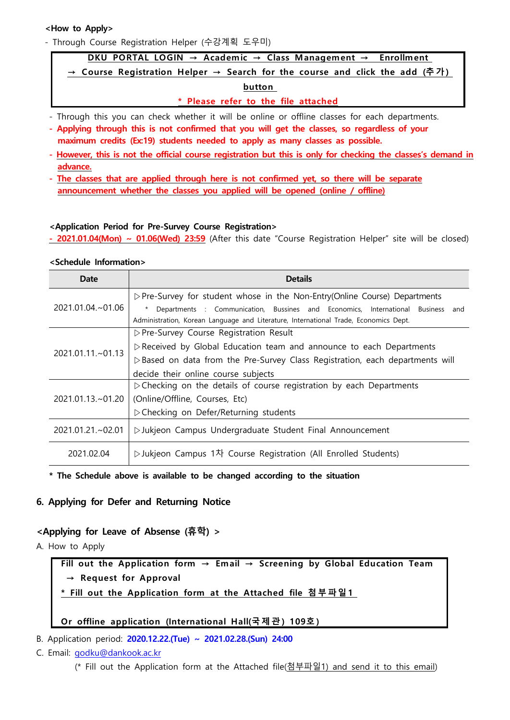#### **<How to Apply>**

a ka

- Through Course Registration Helper (수강계획 도우미)

#### **DKU PORTAL LOGIN → Academic → Class Management → Enrollment**

**→ Course Registration Helper → Search for the course and click the add (추 가 )** 

#### **button**

**\* Please refer to the file attached**

- Through this you can check whether it will be online or offline classes for each departments.
- **Applying through this is not confirmed that you will get the classes, so regardless of your**
- maximum credits (Ex:19) students needed to apply as many classes as possible.<br>- However, this is not the official course registration but this is only for checking the classes's demand in
- advance.<br> **The classes that are applied through here is not confirmed yet, so there will be separate announcement whether the classes you applied will be opened (online / offline)**

#### **<Application Period for Pre-Survey Course Registration>**

 **- 2021.01.04(Mon) ~ 01.06(Wed) 23:59** (After this date "Course Registration Helper" site will be closed)

#### **<Schedule Information>**

| Date                 | <b>Details</b>                                                                                                                                                          |  |
|----------------------|-------------------------------------------------------------------------------------------------------------------------------------------------------------------------|--|
|                      | $\triangleright$ Pre-Survey for student whose in the Non-Entry(Online Course) Departments                                                                               |  |
| $2021.01.04 - 01.06$ | Departments : Communication, Bussines and Economics, International Business and<br>Administration, Korean Language and Literature, International Trade, Economics Dept. |  |
| 2021.01.11.~01.13    | ▷ Pre-Survey Course Registration Result                                                                                                                                 |  |
|                      | $\triangleright$ Received by Global Education team and announce to each Departments                                                                                     |  |
|                      | $\triangleright$ Based on data from the Pre-Survey Class Registration, each departments will                                                                            |  |
|                      | decide their online course subjects                                                                                                                                     |  |
|                      | $\triangleright$ Checking on the details of course registration by each Departments                                                                                     |  |
| 2021.01.13.~01.20    | (Online/Offline, Courses, Etc)                                                                                                                                          |  |
|                      | ▷ Checking on Defer/Returning students                                                                                                                                  |  |
| $2021.01.21 - 02.01$ | ▷ Jukjeon Campus Undergraduate Student Final Announcement                                                                                                               |  |
| 2021.02.04           | ▷ Jukjeon Campus 1차 Course Registration (All Enrolled Students)                                                                                                         |  |

#### **\* The Schedule above is available to be changed according to the situation**

#### **6. Applying for Defer and Returning Notice**

#### **<Applying for Leave of Absense (휴학) >**

A. How to Apply

plying for Leave of Absense (휴학) ><br><sup>DW to Apply<br>Fill out the Application form → Email → Screening by Global Education Team<br>→ Request for Approval</sup> **plying for Leave of Absense (휴**<br>
→ Request for Approval<br>
→ Request for Approval<br>
→ Fill out the Application form<br>
→ Fill out the Application form *x* to Apply<br>Fill out the Application form → Email → Screening by Global Education<br>→ Request for Approval<br>\* Fill out the Application form at the Attached file 첨부파일1 → Request for Approval<br><u>\* Fill out the Application form at the Attached file 첨부파일1<br>Or offline application (International Hall(국제관) 109호)</u>

# a ka

B. Application period: **2020.12.22.(Tue) ~ 2021.02.28.(Sun) 24:00**

C. Email: [godku@dankook.ac.kr](mailto:godku@dankook.ac.kr)

(\* Fill out the Application form at the Attached file(첨부파일1) and send it to this email)